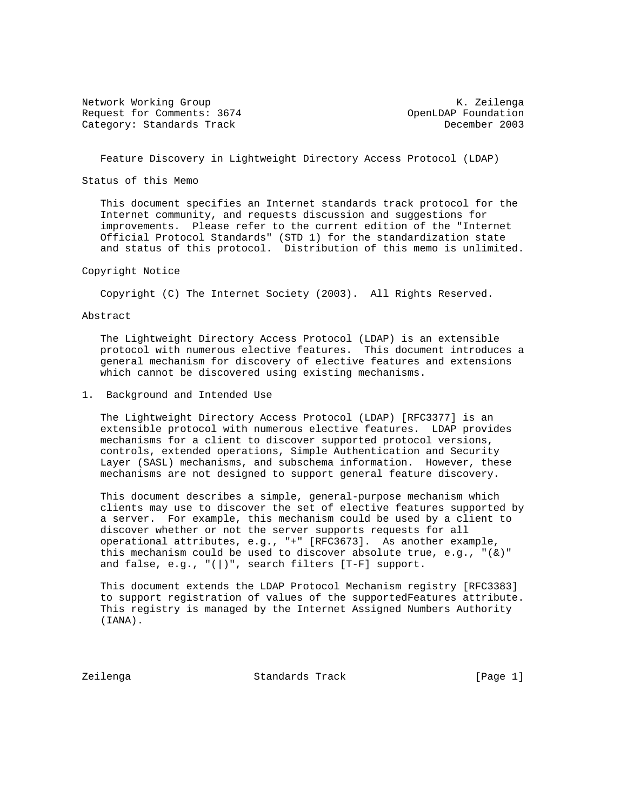Network Working Group Network Working Group Network Alexander Manual Association Alexander Manual Alexander Ma Request for Comments: 3674 OpenLDAP Foundation Category: Standards Track December 2003

Feature Discovery in Lightweight Directory Access Protocol (LDAP)

Status of this Memo

 This document specifies an Internet standards track protocol for the Internet community, and requests discussion and suggestions for improvements. Please refer to the current edition of the "Internet Official Protocol Standards" (STD 1) for the standardization state and status of this protocol. Distribution of this memo is unlimited.

Copyright Notice

Copyright (C) The Internet Society (2003). All Rights Reserved.

Abstract

 The Lightweight Directory Access Protocol (LDAP) is an extensible protocol with numerous elective features. This document introduces a general mechanism for discovery of elective features and extensions which cannot be discovered using existing mechanisms.

1. Background and Intended Use

 The Lightweight Directory Access Protocol (LDAP) [RFC3377] is an extensible protocol with numerous elective features. LDAP provides mechanisms for a client to discover supported protocol versions, controls, extended operations, Simple Authentication and Security Layer (SASL) mechanisms, and subschema information. However, these mechanisms are not designed to support general feature discovery.

 This document describes a simple, general-purpose mechanism which clients may use to discover the set of elective features supported by a server. For example, this mechanism could be used by a client to discover whether or not the server supports requests for all operational attributes, e.g., "+" [RFC3673]. As another example, this mechanism could be used to discover absolute true, e.g.,  $\sqrt{\kappa}$ and false, e.g.,  $"(\cdot)$ ", search filters  $[T-F]$  support.

 This document extends the LDAP Protocol Mechanism registry [RFC3383] to support registration of values of the supportedFeatures attribute. This registry is managed by the Internet Assigned Numbers Authority (IANA).

Zeilenga Standards Track [Page 1]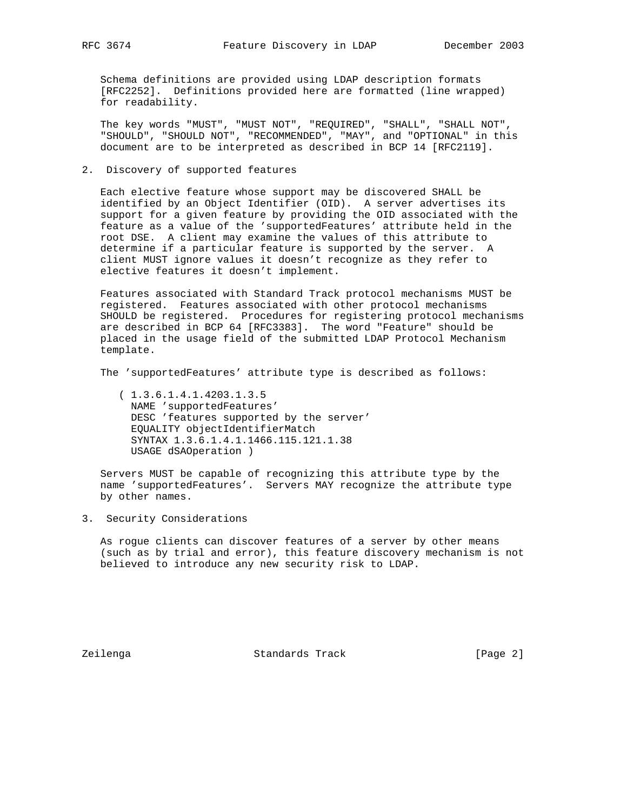Schema definitions are provided using LDAP description formats [RFC2252]. Definitions provided here are formatted (line wrapped) for readability.

 The key words "MUST", "MUST NOT", "REQUIRED", "SHALL", "SHALL NOT", "SHOULD", "SHOULD NOT", "RECOMMENDED", "MAY", and "OPTIONAL" in this document are to be interpreted as described in BCP 14 [RFC2119].

2. Discovery of supported features

 Each elective feature whose support may be discovered SHALL be identified by an Object Identifier (OID). A server advertises its support for a given feature by providing the OID associated with the feature as a value of the 'supportedFeatures' attribute held in the root DSE. A client may examine the values of this attribute to determine if a particular feature is supported by the server. A client MUST ignore values it doesn't recognize as they refer to elective features it doesn't implement.

 Features associated with Standard Track protocol mechanisms MUST be registered. Features associated with other protocol mechanisms SHOULD be registered. Procedures for registering protocol mechanisms are described in BCP 64 [RFC3383]. The word "Feature" should be placed in the usage field of the submitted LDAP Protocol Mechanism template.

The 'supportedFeatures' attribute type is described as follows:

 ( 1.3.6.1.4.1.4203.1.3.5 NAME 'supportedFeatures' DESC 'features supported by the server' EQUALITY objectIdentifierMatch SYNTAX 1.3.6.1.4.1.1466.115.121.1.38 USAGE dSAOperation )

 Servers MUST be capable of recognizing this attribute type by the name 'supportedFeatures'. Servers MAY recognize the attribute type by other names.

3. Security Considerations

 As rogue clients can discover features of a server by other means (such as by trial and error), this feature discovery mechanism is not believed to introduce any new security risk to LDAP.

Zeilenga Standards Track [Page 2]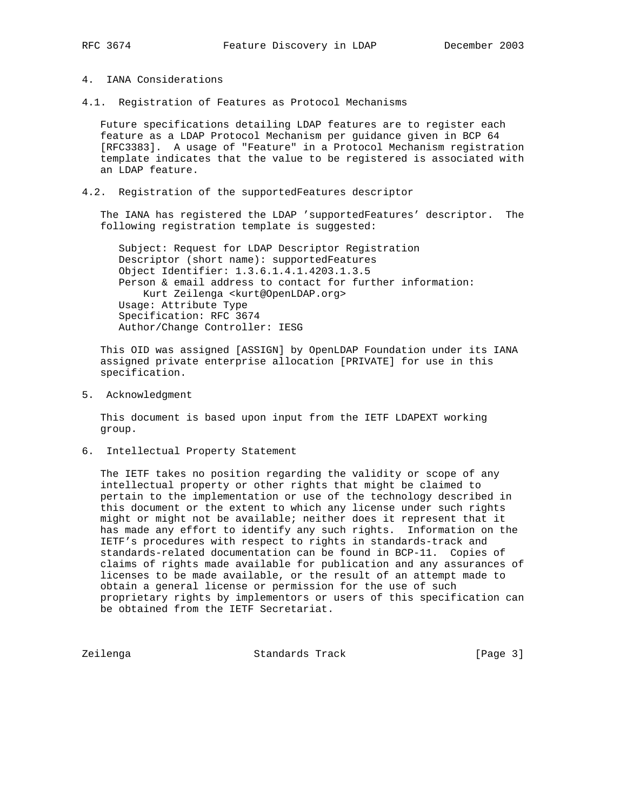## 4. IANA Considerations

4.1. Registration of Features as Protocol Mechanisms

 Future specifications detailing LDAP features are to register each feature as a LDAP Protocol Mechanism per guidance given in BCP 64 [RFC3383]. A usage of "Feature" in a Protocol Mechanism registration template indicates that the value to be registered is associated with an LDAP feature.

4.2. Registration of the supportedFeatures descriptor

 The IANA has registered the LDAP 'supportedFeatures' descriptor. The following registration template is suggested:

 Subject: Request for LDAP Descriptor Registration Descriptor (short name): supportedFeatures Object Identifier: 1.3.6.1.4.1.4203.1.3.5 Person & email address to contact for further information: Kurt Zeilenga <kurt@OpenLDAP.org> Usage: Attribute Type Specification: RFC 3674 Author/Change Controller: IESG

 This OID was assigned [ASSIGN] by OpenLDAP Foundation under its IANA assigned private enterprise allocation [PRIVATE] for use in this specification.

5. Acknowledgment

 This document is based upon input from the IETF LDAPEXT working group.

6. Intellectual Property Statement

 The IETF takes no position regarding the validity or scope of any intellectual property or other rights that might be claimed to pertain to the implementation or use of the technology described in this document or the extent to which any license under such rights might or might not be available; neither does it represent that it has made any effort to identify any such rights. Information on the IETF's procedures with respect to rights in standards-track and standards-related documentation can be found in BCP-11. Copies of claims of rights made available for publication and any assurances of licenses to be made available, or the result of an attempt made to obtain a general license or permission for the use of such proprietary rights by implementors or users of this specification can be obtained from the IETF Secretariat.

Zeilenga Standards Track [Page 3]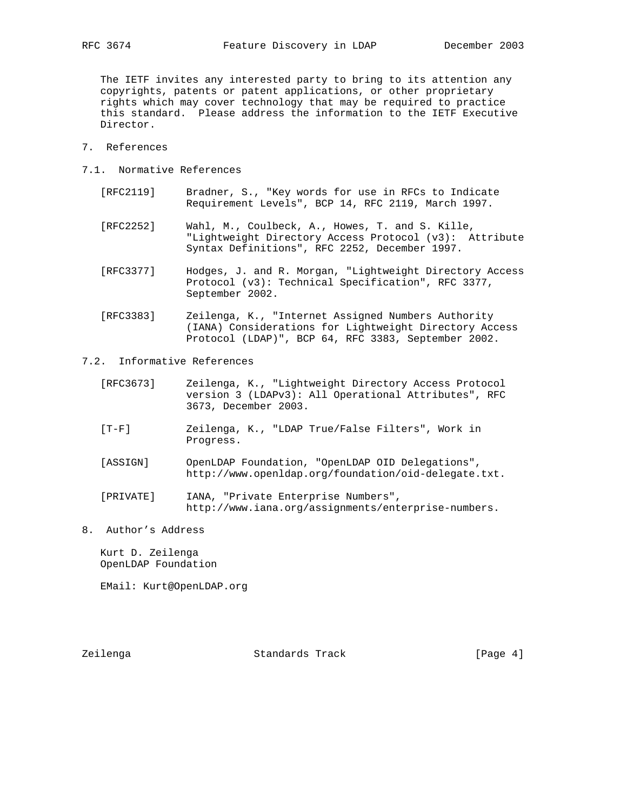The IETF invites any interested party to bring to its attention any copyrights, patents or patent applications, or other proprietary rights which may cover technology that may be required to practice this standard. Please address the information to the IETF Executive Director.

- 7. References
- 7.1. Normative References
	- [RFC2119] Bradner, S., "Key words for use in RFCs to Indicate Requirement Levels", BCP 14, RFC 2119, March 1997.
	- [RFC2252] Wahl, M., Coulbeck, A., Howes, T. and S. Kille, "Lightweight Directory Access Protocol (v3): Attribute Syntax Definitions", RFC 2252, December 1997.
	- [RFC3377] Hodges, J. and R. Morgan, "Lightweight Directory Access Protocol (v3): Technical Specification", RFC 3377, September 2002.
	- [RFC3383] Zeilenga, K., "Internet Assigned Numbers Authority (IANA) Considerations for Lightweight Directory Access Protocol (LDAP)", BCP 64, RFC 3383, September 2002.
- 7.2. Informative References
	- [RFC3673] Zeilenga, K., "Lightweight Directory Access Protocol version 3 (LDAPv3): All Operational Attributes", RFC 3673, December 2003.
	- [T-F] Zeilenga, K., "LDAP True/False Filters", Work in Progress.
	- [ASSIGN] OpenLDAP Foundation, "OpenLDAP OID Delegations", http://www.openldap.org/foundation/oid-delegate.txt.
	- [PRIVATE] IANA, "Private Enterprise Numbers", http://www.iana.org/assignments/enterprise-numbers.
- 8. Author's Address

 Kurt D. Zeilenga OpenLDAP Foundation

EMail: Kurt@OpenLDAP.org

Zeilenga Standards Track [Page 4]